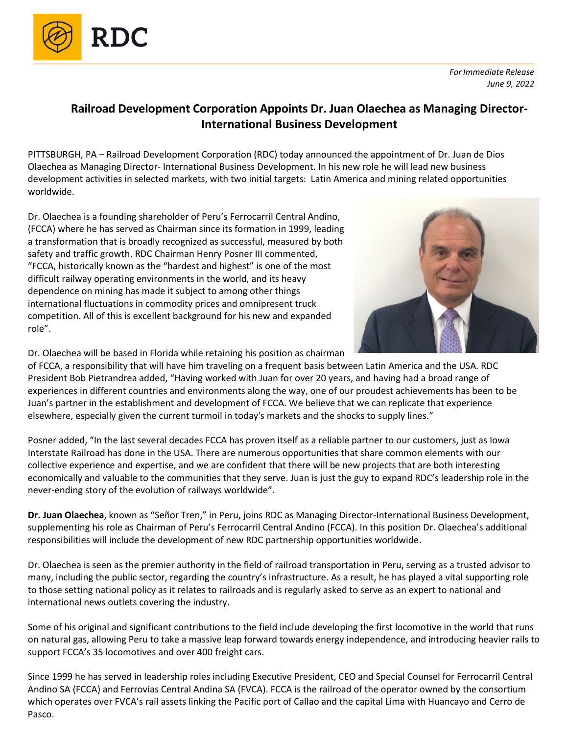

## **Railroad Development Corporation Appoints Dr. Juan Olaechea as Managing Director-International Business Development**

PITTSBURGH, PA – Railroad Development Corporation (RDC) today announced the appointment of Dr. Juan de Dios Olaechea as Managing Director- International Business Development. In his new role he will lead new business development activities in selected markets, with two initial targets: Latin America and mining related opportunities worldwide.

Dr. Olaechea is a founding shareholder of Peru's Ferrocarril Central Andino, (FCCA) where he has served as Chairman since its formation in 1999, leading a transformation that is broadly recognized as successful, measured by both safety and traffic growth. RDC Chairman Henry Posner III commented, "FCCA, historically known as the "hardest and highest" is one of the most difficult railway operating environments in the world, and its heavy dependence on mining has made it subject to among other things international fluctuations in commodity prices and omnipresent truck competition. All of this is excellent background for his new and expanded role".



Dr. Olaechea will be based in Florida while retaining his position as chairman

of FCCA, a responsibility that will have him traveling on a frequent basis between Latin America and the USA. RDC President Bob Pietrandrea added, "Having worked with Juan for over 20 years, and having had a broad range of experiences in different countries and environments along the way, one of our proudest achievements has been to be Juan's partner in the establishment and development of FCCA. We believe that we can replicate that experience elsewhere, especially given the current turmoil in today's markets and the shocks to supply lines."

Posner added, "In the last several decades FCCA has proven itself as a reliable partner to our customers, just as Iowa Interstate Railroad has done in the USA. There are numerous opportunities that share common elements with our collective experience and expertise, and we are confident that there will be new projects that are both interesting economically and valuable to the communities that they serve. Juan is just the guy to expand RDC's leadership role in the never-ending story of the evolution of railways worldwide".

**Dr. Juan Olaechea**, known as "Señor Tren," in Peru, joins RDC as Managing Director-International Business Development, supplementing his role as Chairman of Peru's Ferrocarril Central Andino (FCCA). In this position Dr. Olaechea's additional responsibilities will include the development of new RDC partnership opportunities worldwide.

Dr. Olaechea is seen as the premier authority in the field of railroad transportation in Peru, serving as a trusted advisor to many, including the public sector, regarding the country's infrastructure. As a result, he has played a vital supporting role to those setting national policy as it relates to railroads and is regularly asked to serve as an expert to national and international news outlets covering the industry.

Some of his original and significant contributions to the field include developing the first locomotive in the world that runs on natural gas, allowing Peru to take a massive leap forward towards energy independence, and introducing heavier rails to support FCCA's 35 locomotives and over 400 freight cars.

Since 1999 he has served in leadership roles including Executive President, CEO and Special Counsel for Ferrocarril Central Andino SA (FCCA) and Ferrovias Central Andina SA (FVCA). FCCA is the railroad of the operator owned by the consortium which operates over FVCA's rail assets linking the Pacific port of Callao and the capital Lima with Huancayo and Cerro de Pasco.